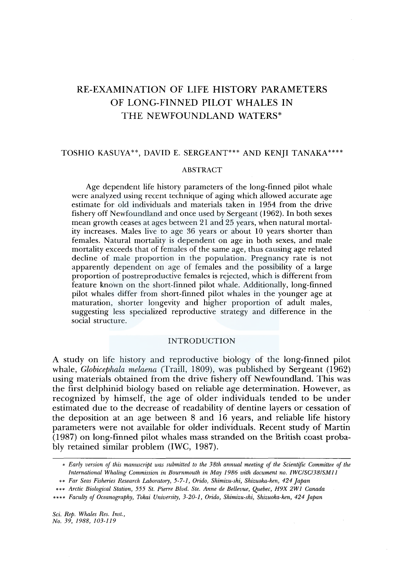# RE-EXAMINATION OF LIFE HISTORY PARAMETERS OF LONG-FINNED PILOT WHALES IN THE NEWFOUNDLAND WATERS\*

# TOSHIO KASUYA\*\*, DAVID E. SERGEANT\*\*\* AND KENJI TANAKA\*\*\*\*

# ABSTRACT

Age dependent life history parameters of the long-finned pilot whale were analyzed using recent technique of aging which allowed accurate age estimate for old individuals and materials taken in 1954 from the drive fishery off Newfoundland and once used by Sergeant (1962). In both sexes mean growth ceases at ages between 21 and 25 years, when natural mortality increases. Males live to age 36 years or about 10 years shorter than females. Natural mortality is dependent on age in both sexes, and male mortality exceeds that of females of the same age, thus causing age related decline of male proportion in the population. Pregnancy rate is not apparently dependent on age of females and the possibility of a large proportion of postreproductive females is rejected, which is different from feature known on the short-finned pilot whale. Additionally, long-finned pilot whales differ from short-finned pilot whales in the younger age at maturation, shorter longevity and higher proportion of adult males, suggesting less specialized reproductive strategy and difference in the social structure.

# INTRODUCTION

A study on life history and reproductive biology of the long-finned pilot whale, *Globicephala melaena* (Traill, 1809), was published by Sergeant (1962) using materials obtained from the drive fishery off Newfoundland. This was the first delphinid biology based on reliable age determination. However, as recognized by himself, the age of older individuals tended to be under estimated due to the decrease of readability of dentine layers or cessation of the deposition at an age between 8 and 16 years, and reliable life history parameters were not available for older individuals. Recent study of Martin (1987) on long-finned pilot whales mass stranded on the British coast probably retained similar problem (IWC, 1987).

<sup>•</sup> *Early version of this manuscript was submitted to the 38th annual meeting of the Scientific Committee of the International Whaling Commission in Bournmouth in May 1986 with document no. IWCISC/38/SMll* 

<sup>••</sup> *Far Seas Fisheries Research Laboratory, 5-7-1, Orido, Shimizu-ski, Shizuoka-ken, 424 Japan* 

<sup>•••</sup> *Arctic Biological Station, 555 St. Pierre Blvd. Ste. Anne de Bellevue, Quebec, H9X 2W1 Canada* 

<sup>••••</sup> *Faculty of Oceanography, Takai University, 3-20-1, Orido, Shimizu-ski, Shizuoka-ken, 424 Japan*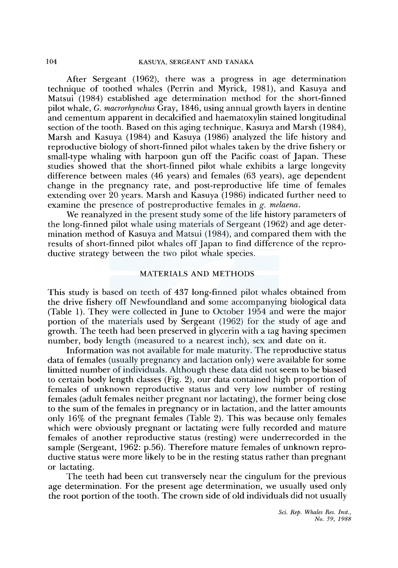After Sergeant (1962), there was a progress in age determination technique of toothed whales (Perrin and Myrick, 1981), and Kasuya and Matsui (1984) established age determination method for the short-finned pilot whale, G. *macrorhynchus* Gray, 1846, using annual growth layers in dentine and cementum apparent in decalcified and haematoxylin stained longitudinal section of the tooth. Based on this aging technique, Kasuya and Marsh (1984), Marsh and Kasuya ( 1984) and Kasuya ( 1986) analyzed the life history and reproductive biology of short-finned pilot whales taken by the drive fishery or small-type whaling with harpoon gun off the Pacific coast of Japan. These studies showed that the short-finned pilot whale exhibits a large longevity difference between males (46 years) and females (63 years), age dependent change in the pregnancy rate, and post-reproductive life time of females extending over 20 years. Marsh and Kasuya (1986) indicated further need to examine the presence of postreproductive females in *g. melaena.* 

We reanalyzed in the present study some of the life history parameters of the long-finned pilot whale using materials of Sergeant (1962) and age determination method of Kasuya and Matsui (1984), and compared them with the results of short-finned pilot whales off Japan to find difference of the reproductive strategy between the two pilot whale species.

# MATERIALS AND METHODS

This study is based on teeth of 437 long-finned pilot whales obtained from the drive fishery off Newfoundland and some accompanying biological data (Table 1). They were collected in June to October 1954 and were the major portion of the materials used by Sergeant ( 1962) for the study of age and growth. The teeth had been preserved in glycerin with a tag having specimen number, body length (measured to a nearest inch), sex and date on it.

Information was not available for male maturity. The reproductive status data of females (usually pregnancy and lactation only) were available for some limitted number of individuals. Although these data did not seem to be biased to certain body length classes (Fig. 2), our data contained high proportion of females of unknown reproductive status and very low number of resting females (adult females neither pregnant nor lactating), the former being close to the sum of the females in pregnancy or in lactation, and the latter amounts only 16% of the pregnant females (Table 2). This was because only females which were obviously pregnant or lactating were fully recorded and mature females of another reproductive status (resting) were underrecorded in the sample (Sergeant, 1962: p.56). Therefore mature females of unknown reproductive status were more likely to be in the resting status rather than pregnant or lactating.

The teeth had been cut transversely near the cingulum for the previous age determination. For the present age determination, we usually used only the root portion of the tooth. The crown side of old individuals did not usually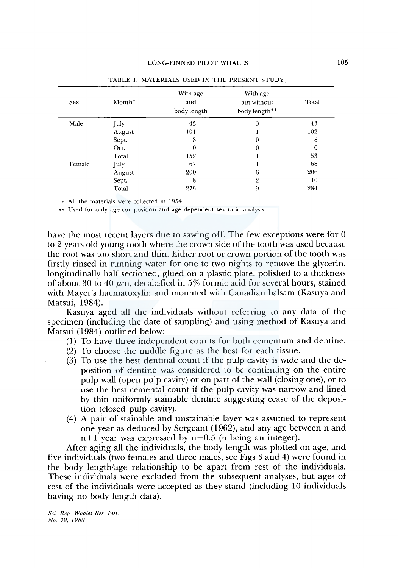| <b>Sex</b> | Month* | With age<br>and<br>body length | With age<br>but without<br>body length** | Total    |
|------------|--------|--------------------------------|------------------------------------------|----------|
| Male       | July   | 43                             | 0                                        | 43       |
|            | August | 101                            |                                          | 102      |
|            | Sept.  | 8                              | 0                                        | 8        |
|            | Oct.   | $\bf{0}$                       | $\theta$                                 | $\theta$ |
|            | Total  | 152                            |                                          | 153      |
| Female     | July   | 67                             |                                          | 68       |
|            | August | 200                            | 6                                        | 206      |
|            | Sept.  | 8                              | 2                                        | 10       |
|            | Total  | 275                            | 9                                        | 284      |

TABLE 1. MATERIALS USED IN THE PRESENT STUDY

\* All the materials were collected in 1954.

\*\* Used for only age composition and age dependent sex ratio analysis.

have the most recent layers due to sawing off. The few exceptions were for 0 to 2 years old young tooth where the crown side of the tooth was used because the root was too short and thin. Either root or crown portion of the tooth was firstly rinsed in running water for one to two nights to remove the glycerin, longitudinally half sectioned, glued on a plastic plate, polished to a thickness of about 30 to 40  $\mu$ m, decalcified in 5% formic acid for several hours, stained with Mayer's haematoxylin and mounted with Canadian balsam (Kasuya and Matsui, 1984).

Kasuya aged all the individuals without referring to any data of the specimen (including the date of sampling) and using method of Kasuya and Matsui (1984) outlined below:

- (1) To have three independent counts for both cementum and dentine.
- (2) To choose the middle figure as the best for each tissue.
- (3) To use the best dentinal count if the pulp cavity is wide and the deposition of dentine was considered to be continuing on the entire pulp wall (open pulp cavity) or on part of the wall (closing one), or to use the best cemental count if the pulp cavity was narrow and lined by thin uniformly stainable dentine suggesting cease of the deposition (closed pulp cavity).
- (4) A pair of stainable and unstainable layer was assumed to represent one year as deduced by Sergeant (1962), and any age between n and  $n+1$  year was expressed by  $n+0.5$  (n being an integer).

After aging all the individuals, the body length was plotted on age, and five individuals (two females and three males, see Figs 3 and 4) were found in the body length/age relationship to be apart from rest of the individuals. These individuals were excluded from the subsequent analyses, but ages of rest of the individuals were accepted as they stand (including 10 individuals having no body length data).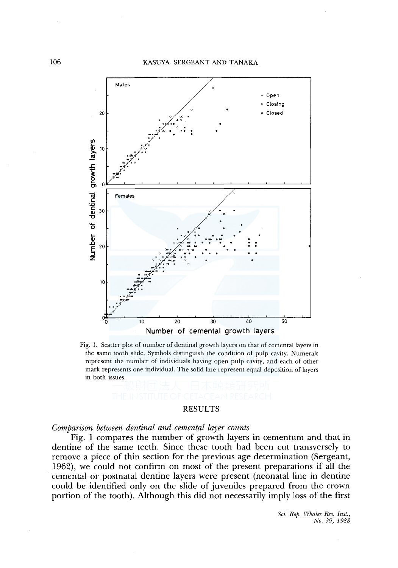#### KASUYA, SERGEANT AND TANAKA



Fig. 1. Scatter plot of number of dentinal growth layers on that of cemental layers in the same tooth slide. Symbols distinguish the condition of pulp cavity. Numerals represent the number of individuals having open pulp cavity, and each of other mark represents one individual. The solid line represent equal deposition of layers in both issues.

# RESULTS

*Comparison between dentinal and cemental layer counts* 

Fig. 1 compares the number of growth layers in cementum and that in dentine of the same teeth. Since these tooth had been cut transversely to remove a piece of thin section for the previous age determination (Sergeant, 1962), we could not confirm on most of the present preparations if all the cementa! or postnatal dentine layers were present (neonatal line in dentine could be identified only on the slide of juveniles prepared from the crown portion of the tooth). Although this did not necessarily imply loss of the first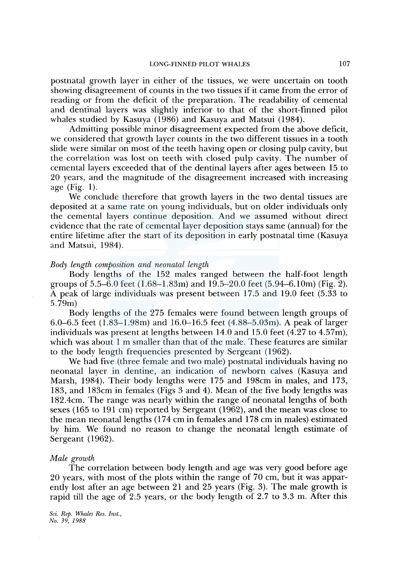postnatal growth layer in either of the tissues, we were uncertain on tooth showing disagreement of counts in the two tissues if it came from the error of reading or from the deficit of the preparation. The readability of cemental and dentinal layers was slightly inferior to that of the short-finned pilot whales studied by Kasuya (1986) and Kasuya and Matsui (1984).

Admitting possible minor disagreement expected from the above deficit, we considered that growth layer counts in the two different tissues in a tooth slide were similar on most of the teeth having open or closing pulp cavity, but the correlation was lost on teeth with closed pulp cavity. The number of cemental layers exceeded that of the dentinal layers after ages between 15 to 20 years, and the magnitude of the disagreement increased with increasing age (Fig. 1).

We conclude therefore that growth layers in the two dental tissues are deposited at a same rate on young individuals, but on older individuals only the cemental layers continue deposition. And we assumed without direct evidence that the rate of cemental layer deposition stays same (annual) for the entire lifetime after the start of its deposition in early postnatal time (Kasuya and Matsui, 1984).

# *Body length composition and neonatal length*

Body lengths of the 152 males ranged between the half-foot length groups of  $5.5-\overline{6.0}$  feet  $(1.68-1.83m)$  and  $19.5-20.0$  feet  $(5.94-6.10m)$  (Fig. 2). A peak of large individuals was present between 17 .5 and 19.0 feet (5.33 to 5.79m)

Body lengths of the 275 females were found between length groups of 6.0-6.5 feet (l.83-l.98m) and 16.0-16.5 feet (4.88-5.03m). A peak of larger individuals was present at lengths between  $14.0$  and  $15.0$  feet  $(4.27 \text{ to } 4.57 \text{m})$ , which was about 1 m smaller than that of the male. These features are similar to the body length frequencies presented by Sergeant (1962).

We had five (three female and two male) postnatal individuals having no neonatal layer in dentine, an indication of newborn calves (Kasuya and Marsh, 1984). Their body lengths were 175 and 198cm in males, and 173, 183, and 183cm in females (Figs 3 and 4). Mean of the five body lengths was 182.4cm. The range was nearly within the range of neonatal lengths of both sexes (165 to 191 cm) reported by Sergeant (1962), and the mean was close to the mean neonatal lengths (174 cm in females and 178 cm in males) estimated by him. We found no reason to change the neonatal length estimate of Sergeant (1962).

#### *Male growth*

The correlation between body length and age was very good before age 20 years, with most of the plots within the range of 70 cm, but it was apparently lost after an age between 21 and 25 years (Fig. 3). The male growth is rapid till the age of 2.5 years, or the body length of 2.7 to 3.3 m. After this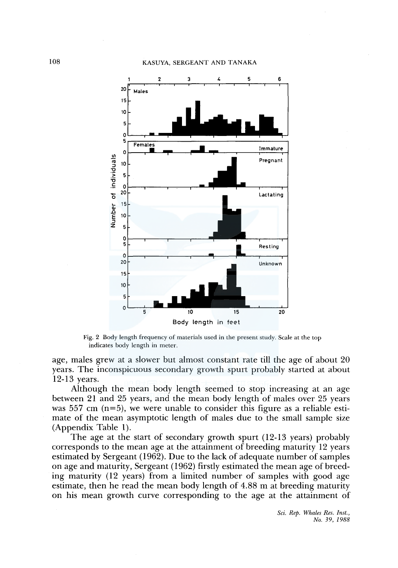# 108 KASUYA, SERGEANT AND TANAKA



Fig. 2 Body length frequency of materials used in the present study. Scale at the top indicates body length in meter.

age, males grew at a slower but almost constant rate till the age of about 20 years. The inconspicuous secondary growth spurt probably started at about 12-13 years.

Although the mean body length seemed to stop increasing at an age between 21 and 25 years, and the mean body length of males over 25 years was 557 cm  $(n=5)$ , we were unable to consider this figure as a reliable estimate of the mean asymptotic length of males due to the small sample size (Appendix Table 1).

The age at the start of secondary growth spurt (12-13 years) probably corresponds to the mean age at the attainment of breeding maturity 12 years estimated by Sergeant ( 1962). Due to the lack of adequate number of samples on age and maturity, Sergeant (1962) firstly estimated the mean age of breeding maturity (12 years) from a limited number of samples with good age estimate, then he read the mean body length of 4.88 m at breeding maturity on his mean growth curve corresponding to the age at the attainment of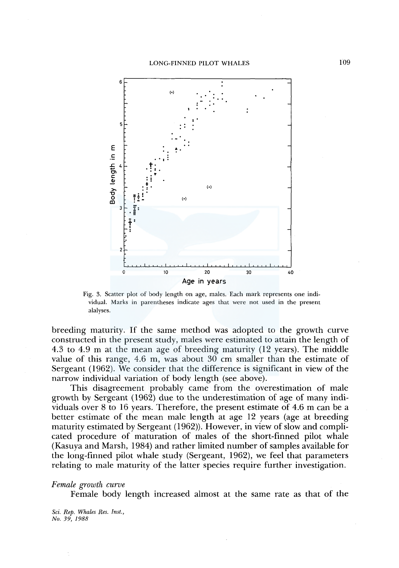

Fig. 3. Scatter plot of body length on age, males. Each mark represents one individual. Marks in parentheses indicate ages that were not used in the present alalyses.

breeding maturity. If the same method was adopted to the growth curve constructed in the present study, males were estimated to attain the length of 4.3 to 4.9 m at the mean age of breeding maturity (12 years). The middle value of this range, 4.6 m, was about 30 cm smaller than the estimate of Sergeant (1962). We consider that the difference is significant in view of the narrow individual variation of body length (see above).

This disagreement probably came from the overestimation of male growth by Sergeant ( 1962) due to the underestimation of age of many individuals over 8 to 16 years. Therefore, the present estimate of 4.6 m can be a better estimate of the mean male length at age 12 years (age at breeding maturity estimated by Sergeant (1962)). However, in view of slow and complicated procedure of maturation of males of the short-finned pilot whale (Kasuya and Marsh, 1984) and rather limited number of samples available for the long-finned pilot whale study (Sergeant, 1962), we feel that parameters relating to male maturity of the latter species require further investigation.

*Female growth curve* 

Female body length increased almost at the same rate as that of the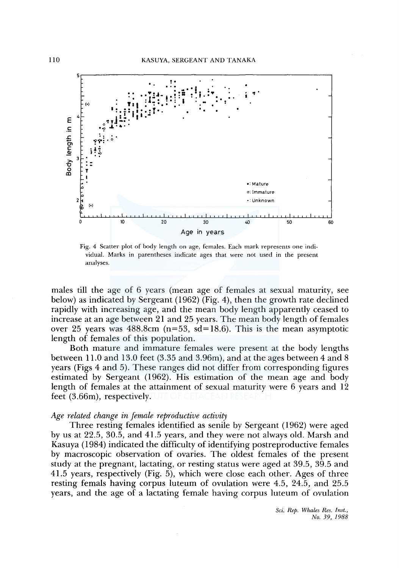

Fig. 4 Scatter plot of body length on age, females. Each mark represents one individual. Marks in parentheses indicate ages that were not used in the present analyses.

males till the age of 6 years (mean age of females at sexual maturity, see below) as indicated by Sergeant ( 1962) (Fig. 4), then the growth rate declined rapidly with increasing age, and the mean body length apparently ceased to increase at an age between 21 and 25 years. The mean body length of females over 25 years was  $488.8$ cm (n=53, sd=18.6). This is the mean asymptotic length of females of this population.

Both mature and immature females were present at the body lengths between 11.0 and 13.0 feet (3.35 and 3.96m), and at the ages between 4 and 8 years (Figs 4 and 5). These ranges did not differ from corresponding figures estimated by Sergeant (1962). His estimation of the mean age and body length of females at the attainment of sexual maturity were 6 years and 12 feet (3.66m), respectively.

# *Age related change in female reproductive activity*

Three resting females identified as senile by Sergeant ( 1962) were aged by us at 22.5, 30.5, and 41.5 years, and they were not always old. Marsh and Kasuya ( 1984) indicated the difficulty of identifying postreproductive females by macroscopic observation of ovaries. The oldest females of the present study at the pregnant, lactating, or resting status were aged at 39.5, 39.5 and 41.5 years, respectively (Fig. 5), which were close each other. Ages of three resting femals having corpus luteum of ovulation were 4.5, 24.5, and 25.5 years, and the age of a lactating female having corpus luteum of ovulation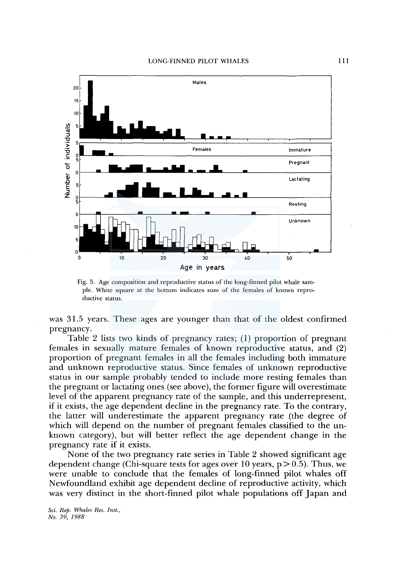

Fig. 5. Age composition and reproductive status of the long-finned pilot whale sample. White square at the bottom indicates sum of the females of known reproductive status.

was 31.5 years. These ages are younger than that of the oldest confirmed pregnancy.

Table 2 lists two kinds of pregnancy rates; (1) proportion of pregnant females in sexually mature females of known reproductive status, and (2) proportion of pregnant females in all the females including both immature and unknown reproductive status. Since females of unknown reproductive status in our sample probably tended to include more resting females than the pregnant or lactating ones (see above), the former figure will overestimate level of the apparent pregnancy rate of the sample, and this underrepresent, if it exists, the age dependent decline in the pregnancy rate. To the contrary, the latter will underestimate the apparent pregnancy rate (the degree of which will depend on the number of pregnant females classified to the unknown category), but will better reflect the age dependent change in the pregnancy rate if it exists.

None of the two pregnancy rate series in Table 2 showed significant age dependent change (Chi-square tests for ages over 10 years,  $p > 0.5$ ). Thus, we were unable to conclude that the females of long-finned pilot whales off Newfoundland exhibit age dependent decline of reproductive activity, which was very distinct in the short-finned pilot whale populations off Japan and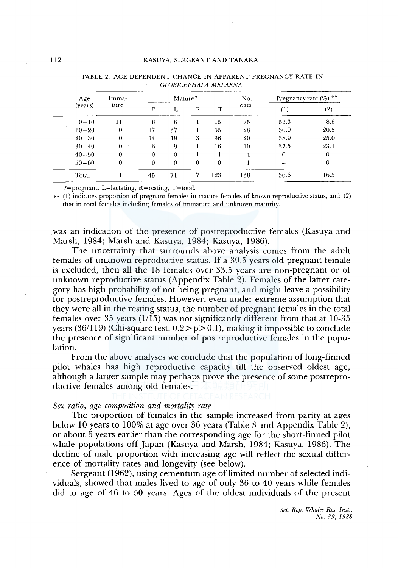| Age<br>(years) | Imma-<br>ture | Mature*     |          |          | No.      | Pregnancy rate (%) ** |          |      |
|----------------|---------------|-------------|----------|----------|----------|-----------------------|----------|------|
|                |               | P           |          | R        |          | data                  | $^{(1)}$ | (2)  |
| $0 - 10$       | 11            | 8           | 6        |          | 15       | 75                    | 53.3     | 8.8  |
| $10 - 20$      | $\theta$      | 17          | 37       |          | 55       | 28                    | 30.9     | 20.5 |
| $20 - 30$      | $\theta$      | 14          | 19       | 3        | 36       | 20                    | 38.9     | 25.0 |
| $30 - 40$      | $\Omega$      | $6^{\circ}$ | 9        |          | 16       | 10                    | 37.5     | 23.1 |
| $40 - 50$      | $\Omega$      | $\theta$    | $\bf{0}$ |          |          | 4                     | $\bf{0}$ | 0    |
| $50 - 60$      | 0             | $\bf{0}$    | $\theta$ | $\theta$ | $\theta$ |                       |          | 0    |
| Total          | 11            | 45          | 71       | 7        | 123      | 138                   | 36.6     | 16.5 |

TABLE 2. AGE DEPENDENT CHANGE IN APPARENT PREGNANCY RATE IN *GLOBICEPHALA MELAENA.* 

• P=pregnant, L=lactating, R=resting, T=total.

\*\* (1) indicates proportion of pregnant females in mature females of known reproductive status, and (2) that in total females including females of immature and unknown maturity.

was an indication of the presence of postreproductive females (Kasuya and Marsh, 1984; Marsh and Kasuya, 1984; Kasuya, 1986).

The uncertainty that surrounds above analysis comes from the adult females of unknown reproductive status. If a 39.5 years old pregnant female is excluded, then all the 18 females over 33.5 years are non-pregnant or of unknown reproductive status (Appendix Table 2). Females of the latter category has high probability of not being pregnant, and might leave a possibility for postreproductive females. However, even under extreme assumption that they were all in the resting status, the number of pregnant females in the total females over 35 years (1/15) was not significantly different from that at 10-35 years (36/119) (Chi-square test,  $0.2 > p > 0.1$ ), making it impossible to conclude the presence of significant number of postreproductive females in the population.

From the above analyses we conclude that the population of long-finned pilot whales has high reproductive capacity till the observed oldest age, although a larger sample may perhaps prove the presence of some postreproductive females among old females.

# *Sex ratio, age composition and mortality rate*

The proportion of females in the sample increased from parity at ages below 10 years to 100% at age over 36 years (Table 3 and Appendix Table 2), or about 5 years earlier than the corresponding age for the short-finned pilot whale populations off Japan (Kasuya and Marsh, 1984; Kasuya, 1986). The decline of male proportion with increasing age will reflect the sexual difference of mortality rates and longevity (see below).

Sergeant (1962), using cementum age of limited number of selected individuals, showed that males lived to age of only 36 to 40 years while females did to age of 46 to 50 years. Ages of the oldest individuals of the present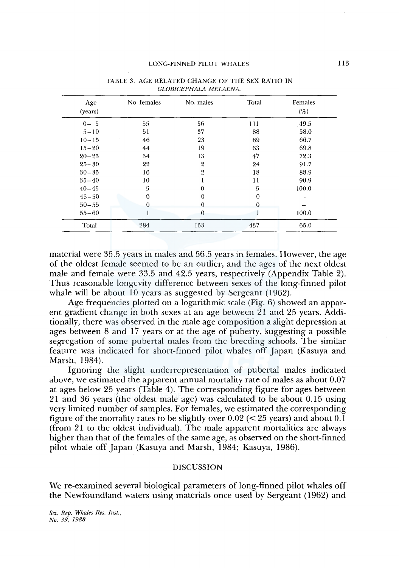| Age<br>(years) | No. females | No. males      | Total    | Females<br>(%) |
|----------------|-------------|----------------|----------|----------------|
| $0 - 5$        | 55          | 56             | 111      | 49.5           |
| $5 - 10$       | 51          | 37             | 88       | 58.0           |
| $10 - 15$      | 46          | 23             | 69       | 66.7           |
| $15 - 20$      | 44          | 19             | 63       | 69.8           |
| $20 - 25$      | 34          | 13             | 47       | 72.3           |
| $25 - 30$      | 22          | $\overline{2}$ | 24       | 91.7           |
| $30 - 35$      | 16          | $\overline{2}$ | 18       | 88.9           |
| $35 - 40$      | 10          |                | 11       | 90.9           |
| $40 - 45$      | 5           | 0              | 5        | 100.0          |
| $45 - 50$      | $\Omega$    | 0              | $\bf{0}$ |                |
| $50 - 55$      | $\Omega$    | 0              | $\theta$ |                |
| $55 - 60$      |             | 0              |          | 100.0          |
| Total          | 284         | 153            | 437      | 65.0           |

TABLE 3. AGE RELATED CHANGE OF THE SEX RATIO IN *GLOBICEPHALA MELAENA.* 

material were 35.5 years in males and 56.5 years in females. However, the age of the oldest female seemed to be an outlier, and the ages of the next oldest male and female were 33.5 and 42.5 years, respectively (Appendix Table 2). Thus reasonable longevity difference between sexes of the long-finned pilot whale will be about 10 years as suggested by Sergeant (1962).

Age frequencies plotted on a logarithmic scale (Fig. 6) showed an apparent gradient change in both sexes at an age between 21 and 25 years. Additionally, there was observed in the male age composition a slight depression at ages between 8 and 17 years or at the age of puberty, suggesting a possible segregation of some pubertal males from the breeding schools. The similar feature was indicated for short-finned pilot whales off Japan (Kasuya and Marsh, 1984).

Ignoring the slight underrepresentation of pubertal males indicated above, we estimated the apparent annual mortality rate of males as about 0.07 at ages below 25 years (Table 4). The corresponding figure for ages between 21 and 36 years (the oldest male age) was calculated to be about 0.15 using very limited number of samples. For females, we estimated the corresponding figure of the mortality rates to be slightly over  $0.02 \, \text{(<} 25 \, \text{years)}$  and about  $0.1$ (from 21 to the oldest individual). The male apparent mortalities are always higher than that of the females of the same age, as observed on the short-finned pilot whale off Japan (Kasuya and Marsh, 1984; Kasuya, 1986).

# DISCUSSION

We re-examined several biological parameters of long-finned pilot whales off the Newfoundland waters using materials once used by Sergeant (1962) and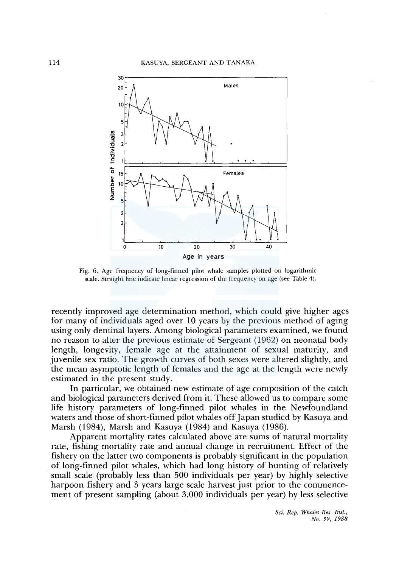

Fig. 6. Age frequency of long-finned pilot whale samples plotted on logarithmic scale. Straight line indicate linear regression of the frequency on age (see Table 4).

recently improved age determination method, which could give higher ages for many of individuals aged over 10 years by the previous method of aging using only dentinal layers. Among biological parameters examined, we found no reason to alter the previous estimate of Sergeant ( 1962) on neonatal body length, longevity, female age at the attainment of sexual maturity, and juvenile sex ratio. The growth curves of both sexes were altered slightly, and the mean asymptotic length of females and the age at the length were newly estimated in the present study.

In particular, we obtained new estimate of age composition of the catch and biological parameters derived from it. These allowed us to compare some life history parameters of long-finned pilot whales in the Newfoundland waters and those of short-finned pilot whales off Japan studied by Kasuya and Marsh (1984), Marsh and Kasuya (1984) and Kasuya (1986).

Apparent mortality rates calculated above are sums of natural mortality rate, fishing mortality rate and annual change in recruitment. Effect of the fishery on the latter two components is probably significant in the population of long-finned pilot whales, which had long history of hunting of relatively small scale (probably less than 500 individuals per year) by highly selective harpoon fishery and 3 years large scale harvest just prior to the commencement of present sampling (about 3,000 individuals per year) by less selective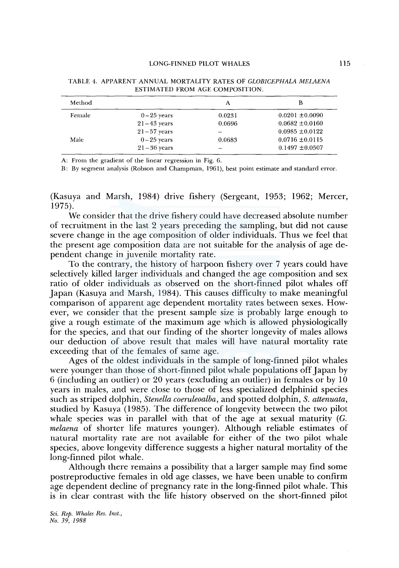#### LONG-FINNED PILOT WHALES

| Method |                 | А      | В                   |
|--------|-----------------|--------|---------------------|
| Female | $0-25$ years    | 0.0231 | $0.0201 \pm 0.0090$ |
|        | $21 - 43$ years | 0.0696 | $0.0682 \pm 0.0160$ |
|        | $21-57$ years   |        | $0.0985 \pm 0.0122$ |
| Male   | $0-25$ years    | 0.0683 | $0.0716 \pm 0.0115$ |
|        | $21 - 36$ years |        | $0.1497 \pm 0.0507$ |

TABLE 4. APPARENT ANNUAL MORTALITY RATES OF *GLOBICEPHALA MELAENA*  ESTIMATED FROM AGE COMPOSITION.

A: From the gradient of the linear regression in Fig. 6.

B: By segment analysis (Robson and Champman, 1961), best point estimate and standard error.

(Kasuya and Marsh, 1984) drive fishery (Sergeant, 1953; 1962; Mercer, 1975).

We consider that the drive fishery could have decreased absolute number of recruitment in the last 2 years preceding the sampling, but did not cause severe change in the age composition of older individuals. Thus we feel that the present age composition data are not suitable for the analysis of age dependent change in juvenile mortality rate.

To the contrary, the history of harpoon fishery over 7 years could have selectively killed larger individuals and changed the age composition and sex ratio of older individuals as observed on the short-finned pilot whales off Japan (Kasuya and Marsh, 1984). This causes difficulty to make meaningful comparison of apparent age dependent mortality rates between sexes. However, we consider that the present sample size is probably large enough to give a rough estimate of the maximum age which is allowed physiologically for the species, and that our finding of the shorter longevity of males allows our deduction of above result that males will have natural mortality rate exceeding that of the females of same age.

Ages of the oldest individuals in the sample of long-finned pilot whales were younger than those of short-finned pilot whale populations off Japan by 6 (including an outlier) or 20 years (excluding an outlier) in females or by 10 years in males, and were close to those of less specialized delphinid species such as striped dolphin, *Stenella coeruleoalba,* and spotted dolphin, *S. attenuata,*  studied by Kasuya (1985). The difference of longevity between the two pilot whale species was in parallel with that of the age at sexual maturity (G. *melaena* of shorter life matures younger). Although reliable estimates of natural mortality rate are not available for either of the two pilot whale species, above longevity difference suggests a higher natural mortality of the long-finned pilot whale.

Although there remains a possibility that a larger sample may find some postreproductive females in old age classes, we have been unable to confirm age dependent decline of pregnancy rate in the long-finned pilot whale. This is in clear contrast with the life history observed on the short-finned pilot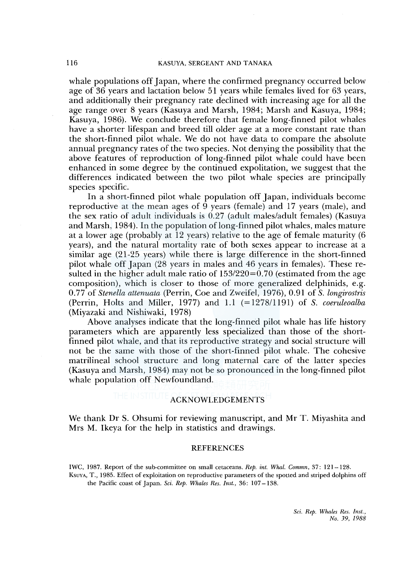whale populations off Japan, where the confirmed pregnancy occurred below age of 36 years and lactation below 51 years while females lived for 63 years, and additionally their pregnancy rate declined with increasing age for all the age range over 8 years (Kasuya and Marsh, 1984; Marsh and Kasuya, 1984; Kasuya, 1986). We conclude therefore that female long-finned pilot whales have a shorter lifespan and breed till older age at a more constant rate than the short-finned pilot whale. We do not have data to compare the absolute annual pregnancy rates of the two species. Not denying the possibility that the above features of reproduction of long-finned pilot whale could have been enhanced in some degree by the continued expolitation, we suggest that the differences indicated between the two pilot whale species are principally species specific.

In a short-finned pilot whale population off Japan, individuals become reproductive at the mean ages of  $\overline{9}$  years (female) and 17 years (male), and the sex ratio of adult individuals is 0.27 (adult males/adult females) (Kasuya and Marsh, 1984). In the population oflong-finned pilot whales, males mature at a lower age (probably at 12 years) relative to the age of female maturity (6 years), and the natural mortality rate of both sexes appear to increase at a similar age (21-25 years) while there is large difference in the short-finned pilot whale off Japan (28 years in males and 46 years in females). These resulted in the higher adult male ratio of  $153/220=0.70$  (estimated from the age composition), which is closer to those of more generalized delphinids, e.g. 0.77 of *Stenella attenuata* (Perrin, Coe and Zweifel, 1976), 0.91 of *S. longirostris*  (Perrin, Holts and Miller, 1977) and 1.1 (=1278/1191) of *S. coeruleoalba*  (Miyazaki and Nishiwaki, 1978)

Above analyses indicate that the long-finned pilot whale has life history parameters which are apparently less specialized than those of the shortfinned pilot whale, and that its reproductive strategy and social structure will not be the same with those of the short-finned pilot whale. The cohesive matrilineal school structure and long maternal care of the latter species (Kasuya and Marsh, 1984) may not be so pronounced in the long-finned pilot whale population off Newfoundland.

# ACKNOWLEDGEMENTS

We thank Dr S. Ohsumi for reviewing manuscript, and Mr T. Miyashita and Mrs M. Ikeya for the help in statistics and drawings.

#### **REFERENCES**

IWC, 1987. Report of the sub-committee on small cetaceans. *Rep. int. Whal. Commn,* 37: 121-128.

KsuvA, T., 1985. Effect of exploitation on reproductive parameters of the spotted and striped dolphins off the Pacific coast of Japan. *Sci. Rep. Whales Res. Inst.,* 36: 107-138.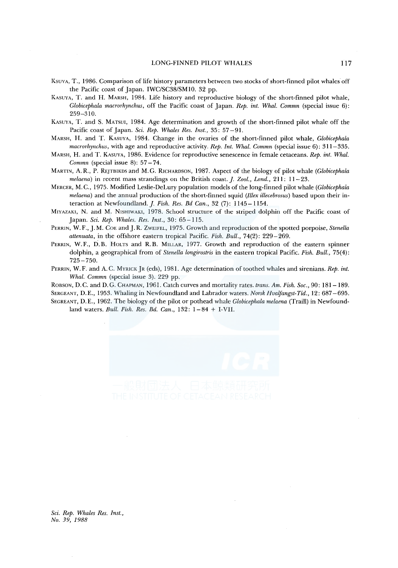- KsuvA, T., 1986. Comparison of life history parameters between two stocks of short-finned pilot whales off the Pacific coast of Japan. IWC/SC38/SMIO. 32 pp.
- KASUYA, T. and H. MARSH, 1984. Life history and reproductive biology of the short-finned pilot whale, *Globicephala macrorhynchus,* off the Pacific coast of Japan. *Rep. int. Whal. Commn* (special issue 6): 259-310.
- KASUYA, T. and S. MATSUI, 1984. Age determination and growth of the short-finned pilot whale off the Pacific coast of Japan. *Sci. Rep. Whales Res. Inst.,* 35: 57-91.
- MARSH, H. and T. KASUYA, 1984. Change in the ovaries of the short-finned pilot whale, *Globicephala macrorhynchus,* with age and reproductive activity. *Rep. Int. Whal. Commn* (special issue 6): 311-335.
- MARSH, H. and T. KASUYA, 1986. Evidence for reproductive senescence in female cetaceans. *Rep. int. Whal. Commn* (special issue 8): 57-74.
- MARTIN, A. R., P. REJTBIKDS and M. G. RICHARDSON, 1987. Aspect of the biology of pilot whale *(Globicephala melaena)* in recent mass strandings on the British coast.]. *Zool., Land.,* 211: 11-23.
- MERCER, M. C., 197 5. Modified Leslie-DeLury population models of the long-finned pilot whale ( *Globicephala melaena)* and the annual production of the short-finned squid *(Illex illecebrosus)* based upon their interaction at Newfoundland.]. *Fish. Res. Bd Can.,* 32 (7): 1145-1154.
- MIYAZAKI, N. and M. NISHIWAKI, 1978. School structure of the striped dolphin off the Pacific coast of Japan. *Sci. Rep. Whales. Res. Inst.,* 30: 65-115.
- PERRIN, W. F., J.M. COE and J. R. ZWEIFEL, 1975. Growth and reproduction of the spotted porpoise, *Stenella attenuata,* in the offshore eastern tropical Pacific. *Fish. Bull.,* 74(2): 229-269.
- PERRIN, W.F., D.B. HoLTs and R.B. MILLAR, 1977. Growth and reproduction of the eastern spinner dolphin, a geographical from of *Stenella longirostris* in the eastern tropical Pacific. *Fish. Bull.,* 75(4): 725-750.
- PERRIN, W. F. and A. C. MYRICK [R (eds), 1981. Age determination of toothed whales and sirenians. *Rep. int. Whal. Commn* (special issue 3). 229 pp.

ROBSON, D.C. and D.G. CHAPMAN, 1961. Catch curves and mortality rates. *trans. Am. Fish. Soc.,* 90: 181-189. SERGEANT, D.E., 1953. Whaling in Newfoundland and Labrador waters. *Norsk Hvalfangst-Tid.,* 12: 687-695. SEGREANT, D. E., 1962. The biology of the pilot or pothead whale *Globicephala melaena* (Traill) in Newfound-

land waters. *Bull. Fish. Res. Bd. Can.*, 132: 1-84 + I-VII.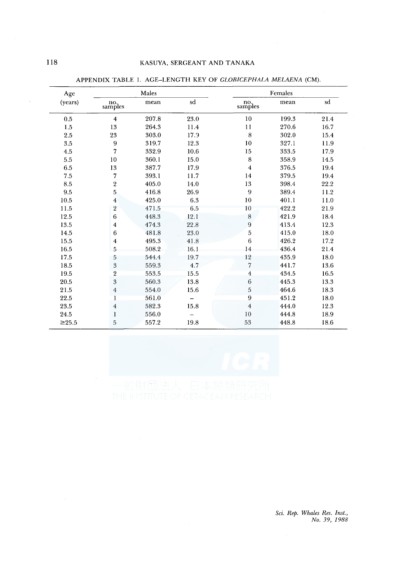| Age             |                         | Males |      |                         | Females |      |
|-----------------|-------------------------|-------|------|-------------------------|---------|------|
| (years)         | no.<br>samples          | mean  | sd   | no.<br>samples          | mean    | sd   |
| 0.5             | $\overline{\mathbf{4}}$ | 207.8 | 23.0 | 10                      | 199.3   | 21.4 |
| 1.5             | $13\,$                  | 264.3 | 11.4 | $1\,1\,$                | 270.6   | 16.7 |
| 2.5             | 23                      | 303.0 | 17.9 | $\bf 8$                 | 302.0   | 15.4 |
| 3.5             | $\boldsymbol{9}$        | 319.7 | 12.3 | $10\,$                  | 327.1   | 11.9 |
| 4.5             | $\scriptstyle\rm 7$     | 332.9 | 10.6 | $15\,$                  | 333.5   | 17.9 |
| 5.5             | $10\,$                  | 360.1 | 15.0 | $\,$ 8 $\,$             | 358.9   | 14.5 |
| 6.5             | 13                      | 387.7 | 17.9 | $\overline{\mathbf{4}}$ | 376.5   | 19.4 |
| 7.5             | 7                       | 393.1 | 11.7 | 14                      | 379.5   | 19.4 |
| $\!\!\!\!\!8.5$ | $\overline{\mathbf{2}}$ | 405.0 | 14.0 | 13                      | 398.4   | 22.2 |
| 9.5             | $\overline{5}$          | 416.8 | 26.9 | 9                       | 389.4   | 11.2 |
| 10.5            | $\overline{\mathbf{4}}$ | 425.0 | 6.3  | 10                      | 401.1   | 11.0 |
| 11.5            | $\sqrt{2}$              | 471.5 | 6.5  | 10                      | 422.2   | 21.9 |
| 12.5            | 6                       | 448.3 | 12.1 | 8                       | 421.9   | 18.4 |
| 13.5            | $\boldsymbol{4}$        | 474.3 | 22.8 | $\boldsymbol{9}$        | 413.4   | 12.3 |
| 14.5            | 6                       | 481.8 | 23.0 | 5                       | 415.0   | 18.0 |
| 15.5            | $\overline{\mathbf{4}}$ | 495.3 | 41.8 | $\,6$                   | 426.2   | 17.2 |
| 16.5            | 5                       | 508.2 | 16.1 | 14                      | 436.4   | 21.4 |
| 17.5            | $\,$ 5                  | 544.4 | 19.7 | 12                      | 435.9   | 18.0 |
| 18.5            | 3                       | 559.3 | 4.7  | $\overline{7}$          | 441.7   | 13.6 |
| 19.5            | $\overline{2}$          | 553.5 | 15.5 | $\overline{4}$          | 434.5   | 16.5 |
| 20.5            | $\overline{3}$          | 560.3 | 13.8 | $\boldsymbol{6}$        | 445.3   | 13.3 |
| 21.5            | $\overline{4}$          | 554.0 | 15.6 | 5                       | 464.6   | 18.3 |
| 22.5            | $\mathbf{1}$            | 561.0 |      | 9                       | 451.2   | 18.0 |
| 23.5            | $\overline{4}$          | 582.3 | 15.8 | $\overline{\bf 4}$      | 444.0   | 12.3 |
| 24.5            | $\mathbf{1}$            | 556.0 |      | 10                      | 444.8   | 18.9 |
| $≥25.5$         | 5                       | 557.2 | 19.8 | 53                      | 448.8   | 18.6 |

APPENDIX TABLE 1. AGE-LENGTH KEY OF *GLOBICEPHALA MELAENA* (CM).